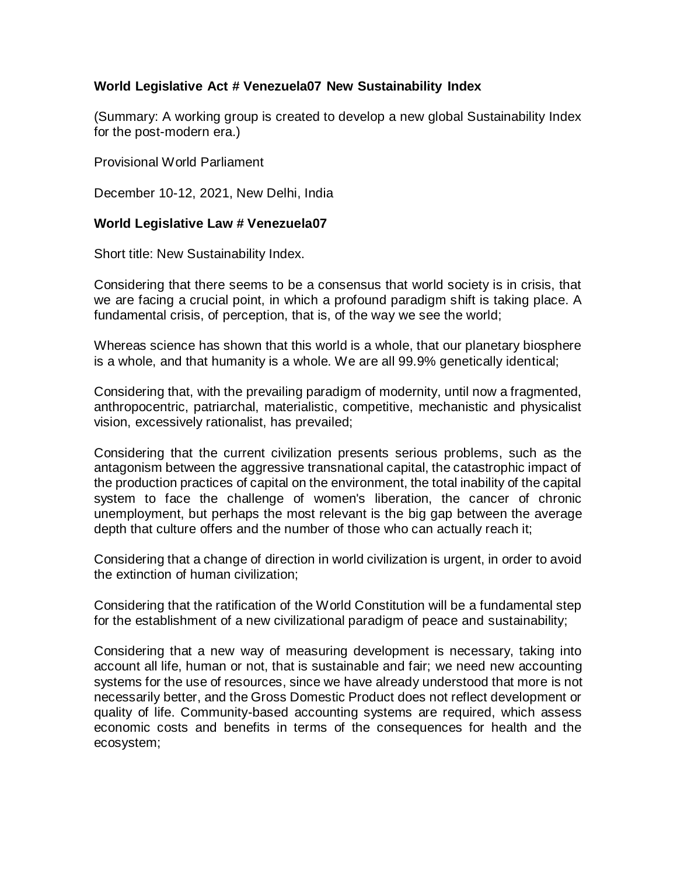# **World Legislative Act # Venezuela07 New Sustainability Index**

(Summary: A working group is created to develop a new global Sustainability Index for the post-modern era.)

Provisional World Parliament

December 10-12, 2021, New Delhi, India

### **World Legislative Law # Venezuela07**

Short title: New Sustainability Index.

Considering that there seems to be a consensus that world society is in crisis, that we are facing a crucial point, in which a profound paradigm shift is taking place. A fundamental crisis, of perception, that is, of the way we see the world;

Whereas science has shown that this world is a whole, that our planetary biosphere is a whole, and that humanity is a whole. We are all 99.9% genetically identical;

Considering that, with the prevailing paradigm of modernity, until now a fragmented, anthropocentric, patriarchal, materialistic, competitive, mechanistic and physicalist vision, excessively rationalist, has prevailed;

Considering that the current civilization presents serious problems, such as the antagonism between the aggressive transnational capital, the catastrophic impact of the production practices of capital on the environment, the total inability of the capital system to face the challenge of women's liberation, the cancer of chronic unemployment, but perhaps the most relevant is the big gap between the average depth that culture offers and the number of those who can actually reach it;

Considering that a change of direction in world civilization is urgent, in order to avoid the extinction of human civilization;

Considering that the ratification of the World Constitution will be a fundamental step for the establishment of a new civilizational paradigm of peace and sustainability;

Considering that a new way of measuring development is necessary, taking into account all life, human or not, that is sustainable and fair; we need new accounting systems for the use of resources, since we have already understood that more is not necessarily better, and the Gross Domestic Product does not reflect development or quality of life. Community-based accounting systems are required, which assess economic costs and benefits in terms of the consequences for health and the ecosystem;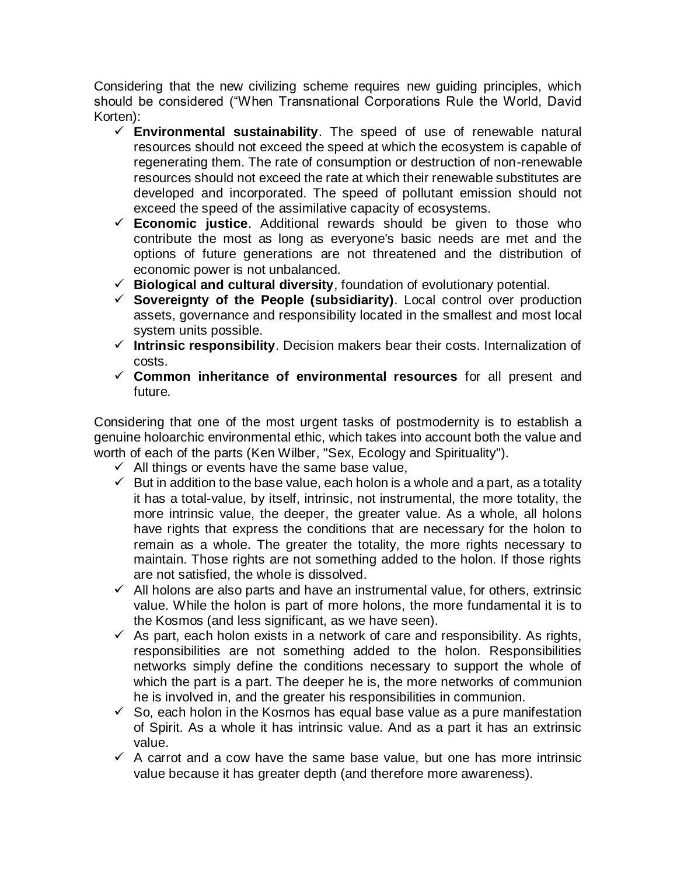Considering that the new civilizing scheme requires new guiding principles, which should be considered ("When Transnational Corporations Rule the World, David Korten):

- **Environmental sustainability**. The speed of use of renewable natural resources should not exceed the speed at which the ecosystem is capable of regenerating them. The rate of consumption or destruction of non-renewable resources should not exceed the rate at which their renewable substitutes are developed and incorporated. The speed of pollutant emission should not exceed the speed of the assimilative capacity of ecosystems.
- **Economic justice**. Additional rewards should be given to those who contribute the most as long as everyone's basic needs are met and the options of future generations are not threatened and the distribution of economic power is not unbalanced.
- **Biological and cultural diversity**, foundation of evolutionary potential.
- **Sovereignty of the People (subsidiarity)**. Local control over production assets, governance and responsibility located in the smallest and most local system units possible.
- **Intrinsic responsibility**. Decision makers bear their costs. Internalization of costs.
- **Common inheritance of environmental resources** for all present and future.

Considering that one of the most urgent tasks of postmodernity is to establish a genuine holoarchic environmental ethic, which takes into account both the value and worth of each of the parts (Ken Wilber, "Sex, Ecology and Spirituality").

- $\checkmark$  All things or events have the same base value,
- $\checkmark$  But in addition to the base value, each holon is a whole and a part, as a totality it has a total-value, by itself, intrinsic, not instrumental, the more totality, the more intrinsic value, the deeper, the greater value. As a whole, all holons have rights that express the conditions that are necessary for the holon to remain as a whole. The greater the totality, the more rights necessary to maintain. Those rights are not something added to the holon. If those rights are not satisfied, the whole is dissolved.
- $\checkmark$  All holons are also parts and have an instrumental value, for others, extrinsic value. While the holon is part of more holons, the more fundamental it is to the Kosmos (and less significant, as we have seen).
- $\checkmark$  As part, each holon exists in a network of care and responsibility. As rights, responsibilities are not something added to the holon. Responsibilities networks simply define the conditions necessary to support the whole of which the part is a part. The deeper he is, the more networks of communion he is involved in, and the greater his responsibilities in communion.
- $\checkmark$  So, each holon in the Kosmos has equal base value as a pure manifestation of Spirit. As a whole it has intrinsic value. And as a part it has an extrinsic value.
- $\checkmark$  A carrot and a cow have the same base value, but one has more intrinsic value because it has greater depth (and therefore more awareness).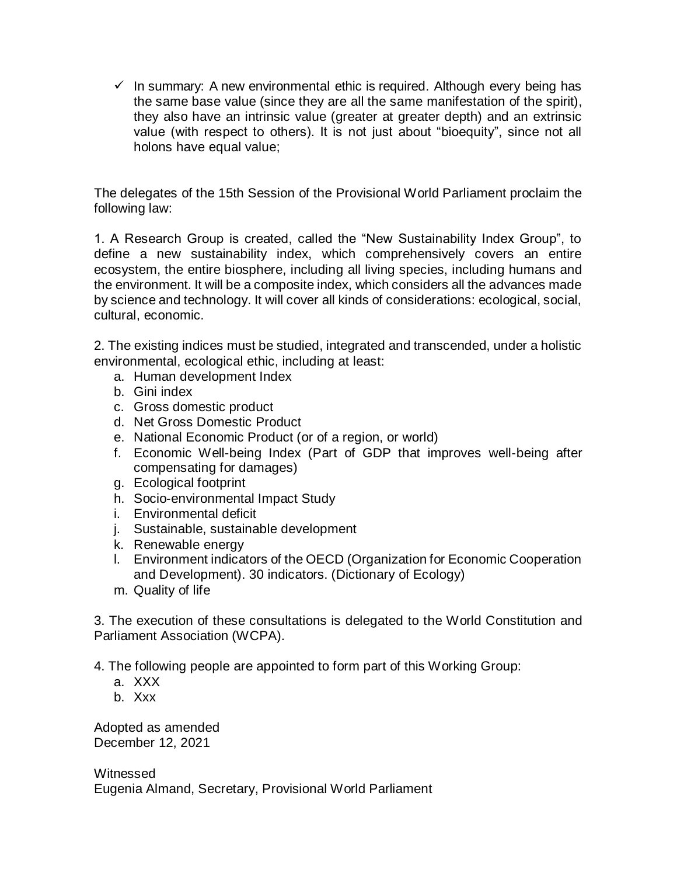$\checkmark$  In summary: A new environmental ethic is required. Although every being has the same base value (since they are all the same manifestation of the spirit), they also have an intrinsic value (greater at greater depth) and an extrinsic value (with respect to others). It is not just about "bioequity", since not all holons have equal value;

The delegates of the 15th Session of the Provisional World Parliament proclaim the following law:

1. A Research Group is created, called the "New Sustainability Index Group", to define a new sustainability index, which comprehensively covers an entire ecosystem, the entire biosphere, including all living species, including humans and the environment. It will be a composite index, which considers all the advances made by science and technology. It will cover all kinds of considerations: ecological, social, cultural, economic.

2. The existing indices must be studied, integrated and transcended, under a holistic environmental, ecological ethic, including at least:

- a. Human development Index
- b. Gini index
- c. Gross domestic product
- d. Net Gross Domestic Product
- e. National Economic Product (or of a region, or world)
- f. Economic Well-being Index (Part of GDP that improves well-being after compensating for damages)
- g. Ecological footprint
- h. Socio-environmental Impact Study
- i. Environmental deficit
- j. Sustainable, sustainable development
- k. Renewable energy
- l. Environment indicators of the OECD (Organization for Economic Cooperation and Development). 30 indicators. (Dictionary of Ecology)
- m. Quality of life

3. The execution of these consultations is delegated to the World Constitution and Parliament Association (WCPA).

4. The following people are appointed to form part of this Working Group:

- a. XXX
- b. Xxx

Adopted as amended December 12, 2021

**Witnessed** Eugenia Almand, Secretary, Provisional World Parliament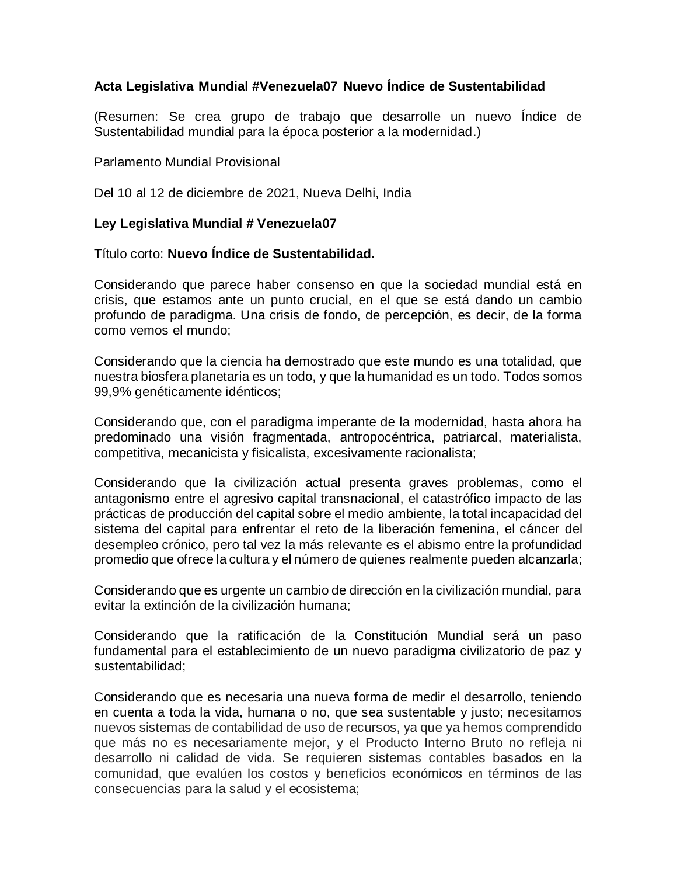# **Acta Legislativa Mundial #Venezuela07 Nuevo Índice de Sustentabilidad**

(Resumen: Se crea grupo de trabajo que desarrolle un nuevo Índice de Sustentabilidad mundial para la época posterior a la modernidad.)

### Parlamento Mundial Provisional

Del 10 al 12 de diciembre de 2021, Nueva Delhi, India

### **Ley Legislativa Mundial # Venezuela07**

#### Título corto: **Nuevo Índice de Sustentabilidad.**

Considerando que parece haber consenso en que la sociedad mundial está en crisis, que estamos ante un punto crucial, en el que se está dando un cambio profundo de paradigma. Una crisis de fondo, de percepción, es decir, de la forma como vemos el mundo;

Considerando que la ciencia ha demostrado que este mundo es una totalidad, que nuestra biosfera planetaria es un todo, y que la humanidad es un todo. Todos somos 99,9% genéticamente idénticos;

Considerando que, con el paradigma imperante de la modernidad, hasta ahora ha predominado una visión fragmentada, antropocéntrica, patriarcal, materialista, competitiva, mecanicista y fisicalista, excesivamente racionalista;

Considerando que la civilización actual presenta graves problemas, como el antagonismo entre el agresivo capital transnacional, el catastrófico impacto de las prácticas de producción del capital sobre el medio ambiente, la total incapacidad del sistema del capital para enfrentar el reto de la liberación femenina, el cáncer del desempleo crónico, pero tal vez la más relevante es el abismo entre la profundidad promedio que ofrece la cultura y el número de quienes realmente pueden alcanzarla;

Considerando que es urgente un cambio de dirección en la civilización mundial, para evitar la extinción de la civilización humana;

Considerando que la ratificación de la Constitución Mundial será un paso fundamental para el establecimiento de un nuevo paradigma civilizatorio de paz y sustentabilidad;

Considerando que es necesaria una nueva forma de medir el desarrollo, teniendo en cuenta a toda la vida, humana o no, que sea sustentable y justo; necesitamos nuevos sistemas de contabilidad de uso de recursos, ya que ya hemos comprendido que más no es necesariamente mejor, y el Producto Interno Bruto no refleja ni desarrollo ni calidad de vida. Se requieren sistemas contables basados en la comunidad, que evalúen los costos y beneficios económicos en términos de las consecuencias para la salud y el ecosistema;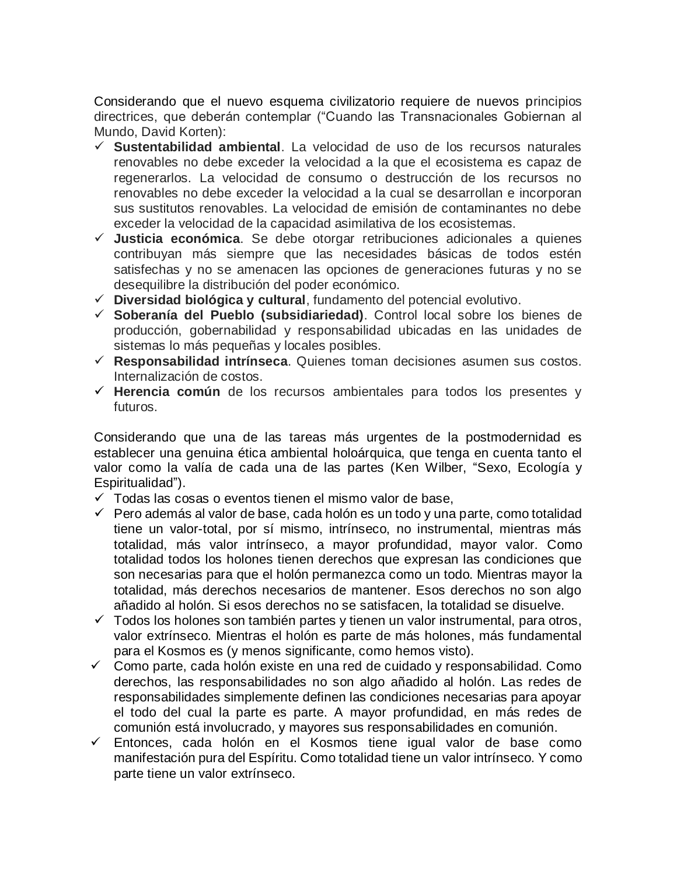Considerando que el nuevo esquema civilizatorio requiere de nuevos principios directrices, que deberán contemplar ("Cuando las Transnacionales Gobiernan al Mundo, David Korten):

- **Sustentabilidad ambiental**. La velocidad de uso de los recursos naturales renovables no debe exceder la velocidad a la que el ecosistema es capaz de regenerarlos. La velocidad de consumo o destrucción de los recursos no renovables no debe exceder la velocidad a la cual se desarrollan e incorporan sus sustitutos renovables. La velocidad de emisión de contaminantes no debe exceder la velocidad de la capacidad asimilativa de los ecosistemas.
- **Justicia económica**. Se debe otorgar retribuciones adicionales a quienes contribuyan más siempre que las necesidades básicas de todos estén satisfechas y no se amenacen las opciones de generaciones futuras y no se desequilibre la distribución del poder económico.
- **Diversidad biológica y cultural**, fundamento del potencial evolutivo.
- **Soberanía del Pueblo (subsidiariedad)**. Control local sobre los bienes de producción, gobernabilidad y responsabilidad ubicadas en las unidades de sistemas lo más pequeñas y locales posibles.
- **Responsabilidad intrínseca**. Quienes toman decisiones asumen sus costos. Internalización de costos.
- **Herencia común** de los recursos ambientales para todos los presentes y futuros.

Considerando que una de las tareas más urgentes de la postmodernidad es establecer una genuina ética ambiental holoárquica, que tenga en cuenta tanto el valor como la valía de cada una de las partes (Ken Wilber, "Sexo, Ecología y Espiritualidad").

- $\checkmark$  Todas las cosas o eventos tienen el mismo valor de base,
- $\checkmark$  Pero además al valor de base, cada holón es un todo y una parte, como totalidad tiene un valor-total, por sí mismo, intrínseco, no instrumental, mientras más totalidad, más valor intrínseco, a mayor profundidad, mayor valor. Como totalidad todos los holones tienen derechos que expresan las condiciones que son necesarias para que el holón permanezca como un todo. Mientras mayor la totalidad, más derechos necesarios de mantener. Esos derechos no son algo añadido al holón. Si esos derechos no se satisfacen, la totalidad se disuelve.
- $\checkmark$  Todos los holones son también partes y tienen un valor instrumental, para otros, valor extrínseco. Mientras el holón es parte de más holones, más fundamental para el Kosmos es (y menos significante, como hemos visto).
- $\checkmark$  Como parte, cada holón existe en una red de cuidado y responsabilidad. Como derechos, las responsabilidades no son algo añadido al holón. Las redes de responsabilidades simplemente definen las condiciones necesarias para apoyar el todo del cual la parte es parte. A mayor profundidad, en más redes de comunión está involucrado, y mayores sus responsabilidades en comunión.
- Entonces, cada holón en el Kosmos tiene igual valor de base como manifestación pura del Espíritu. Como totalidad tiene un valor intrínseco. Y como parte tiene un valor extrínseco.